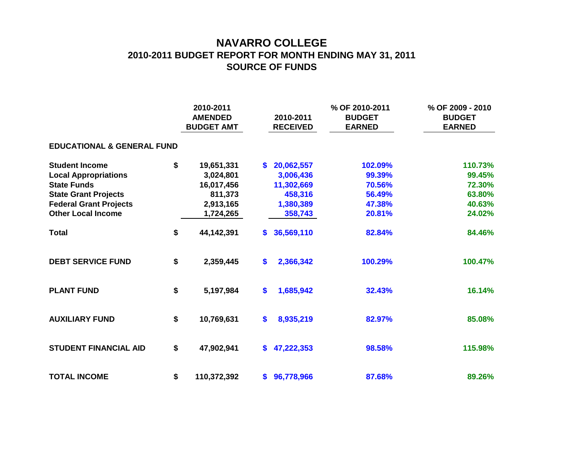## **NAVARRO COLLEGE 2010-2011 BUDGET REPORT FOR MONTH ENDING MAY 31, 2011 SOURCE OF FUNDS**

|                                       |    | 2010-2011<br><b>AMENDED</b><br><b>BUDGET AMT</b> | 2010-2011<br><b>RECEIVED</b> |            | % OF 2010-2011<br><b>BUDGET</b><br><b>EARNED</b> | % OF 2009 - 2010<br><b>BUDGET</b><br><b>EARNED</b> |  |  |  |  |  |  |
|---------------------------------------|----|--------------------------------------------------|------------------------------|------------|--------------------------------------------------|----------------------------------------------------|--|--|--|--|--|--|
| <b>EDUCATIONAL &amp; GENERAL FUND</b> |    |                                                  |                              |            |                                                  |                                                    |  |  |  |  |  |  |
| <b>Student Income</b>                 | \$ | 19,651,331                                       | \$                           | 20,062,557 | 102.09%                                          | 110.73%                                            |  |  |  |  |  |  |
| <b>Local Appropriations</b>           |    | 3,024,801                                        |                              | 3,006,436  | 99.39%                                           | 99.45%                                             |  |  |  |  |  |  |
| <b>State Funds</b>                    |    | 16,017,456                                       |                              | 11,302,669 | 70.56%                                           | 72.30%                                             |  |  |  |  |  |  |
| <b>State Grant Projects</b>           |    | 811,373                                          |                              | 458,316    | 56.49%                                           | 63.80%                                             |  |  |  |  |  |  |
| <b>Federal Grant Projects</b>         |    | 2,913,165                                        |                              | 1,380,389  | 47.38%                                           | 40.63%                                             |  |  |  |  |  |  |
| <b>Other Local Income</b>             |    | 1,724,265                                        |                              | 358,743    | 20.81%                                           | 24.02%                                             |  |  |  |  |  |  |
| <b>Total</b>                          | \$ | 44,142,391                                       | \$                           | 36,569,110 | 82.84%                                           | 84.46%                                             |  |  |  |  |  |  |
| <b>DEBT SERVICE FUND</b>              | \$ | 2,359,445                                        | $\mathbf{\$}$                | 2,366,342  | 100.29%                                          | 100.47%                                            |  |  |  |  |  |  |
| <b>PLANT FUND</b>                     | \$ | 5,197,984                                        | \$                           | 1,685,942  | 32.43%                                           | 16.14%                                             |  |  |  |  |  |  |
| <b>AUXILIARY FUND</b>                 | \$ | 10,769,631                                       | \$                           | 8,935,219  | 82.97%                                           | 85.08%                                             |  |  |  |  |  |  |
| <b>STUDENT FINANCIAL AID</b>          | \$ | 47,902,941                                       | S.                           | 47,222,353 | 98.58%                                           | 115.98%                                            |  |  |  |  |  |  |
| <b>TOTAL INCOME</b>                   | \$ | 110,372,392                                      | \$                           | 96,778,966 | 87.68%                                           | 89.26%                                             |  |  |  |  |  |  |